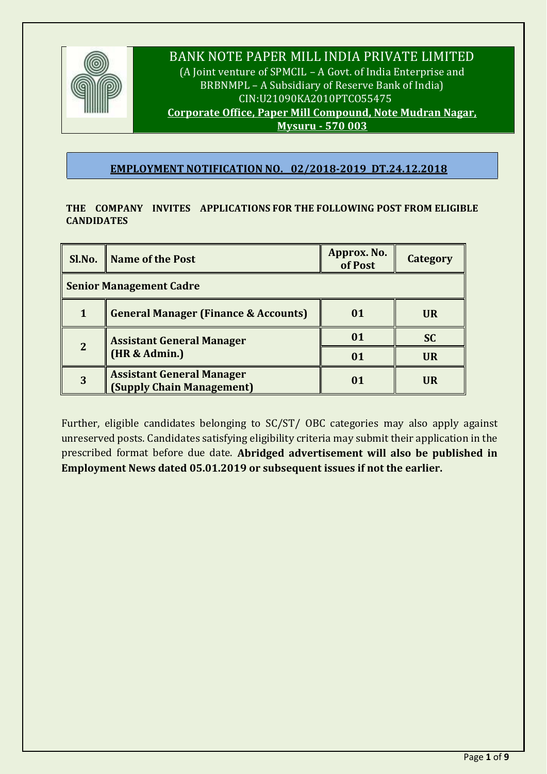

# BANK NOTE PAPER MILL INDIA PRIVATE LIMITED

(A Joint venture of SPMCIL – A Govt. of India Enterprise and BRBNMPL – A Subsidiary of Reserve Bank of India) CIN:U21090KA2010PTCO55475 **Corporate Office, Paper Mill Compound, Note Mudran Nagar, Mysuru - 570 003**

# **EMPLOYMENT NOTIFICATION NO. 02/2018-2019 DT.24.12.2018**

## **THE COMPANY INVITES APPLICATIONS FOR THE FOLLOWING POST FROM ELIGIBLE CANDIDATES**

|                                | Sl.No. Name of the Post                                       | Approx. No.<br>of Post | <b>Category</b> |  |  |
|--------------------------------|---------------------------------------------------------------|------------------------|-----------------|--|--|
| <b>Senior Management Cadre</b> |                                                               |                        |                 |  |  |
|                                | <b>General Manager (Finance &amp; Accounts)</b>               | 01                     | <b>UR</b>       |  |  |
| $\overline{2}$                 | <b>Assistant General Manager</b>                              | 01                     | <b>SC</b>       |  |  |
|                                | (HR & Admin.)                                                 | 01                     | <b>UR</b>       |  |  |
| 3                              | <b>Assistant General Manager</b><br>(Supply Chain Management) | 01                     | <b>UR</b>       |  |  |

Further, eligible candidates belonging to SC/ST/ OBC categories may also apply against unreserved posts. Candidates satisfying eligibility criteria may submit their application in the prescribed format before due date. **Abridged advertisement will also be published in Employment News dated 05.01.2019 or subsequent issues if not the earlier.**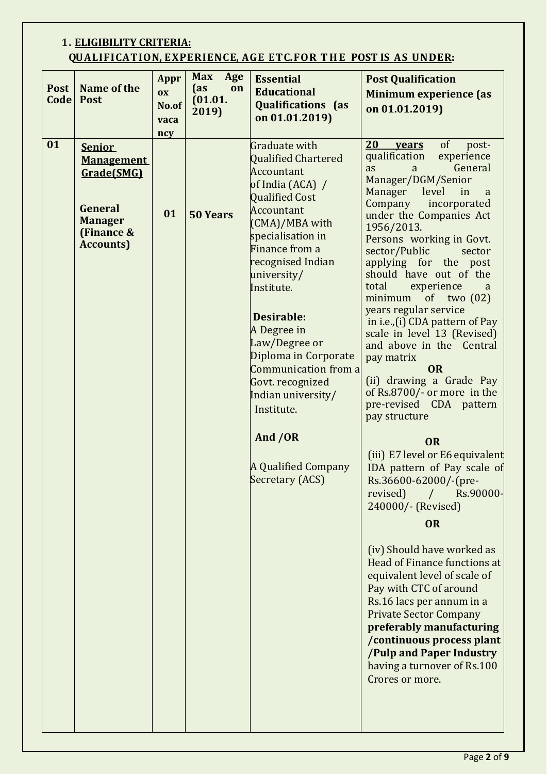# **1. ELIGIBILITY CRITERIA: QUALIFICATION, EXPERIENCE, AGE ETC. FOR T H E POST IS AS UNDER:**

| <b>Post</b><br><b>Code</b> | Name of the<br><b>Post</b>                                                                                       | Appr<br>$\overline{\textbf{O}}\textbf{X}$<br>No.of<br>vaca<br>ncy | <b>Max</b><br>Age<br>(as<br>on<br>(01.01.<br>2019) | <b>Essential</b><br><b>Educational</b><br><b>Qualifications</b> (as<br>on 01.01.2019)                                                                                                                                                                                                                                                                                                                                                      | <b>Post Qualification</b><br><b>Minimum experience (as</b><br>on 01.01.2019)                                                                                                                                                                                                                                                                                                                                                                                                                                                                                                                                                                                                                                                                                                                                                                                                                                                                                                                                                                                                                                                                          |
|----------------------------|------------------------------------------------------------------------------------------------------------------|-------------------------------------------------------------------|----------------------------------------------------|--------------------------------------------------------------------------------------------------------------------------------------------------------------------------------------------------------------------------------------------------------------------------------------------------------------------------------------------------------------------------------------------------------------------------------------------|-------------------------------------------------------------------------------------------------------------------------------------------------------------------------------------------------------------------------------------------------------------------------------------------------------------------------------------------------------------------------------------------------------------------------------------------------------------------------------------------------------------------------------------------------------------------------------------------------------------------------------------------------------------------------------------------------------------------------------------------------------------------------------------------------------------------------------------------------------------------------------------------------------------------------------------------------------------------------------------------------------------------------------------------------------------------------------------------------------------------------------------------------------|
| 01                         | <b>Senior</b><br><b>Management</b><br>Grade(SMG)<br>General<br><b>Manager</b><br>(Finance &<br><b>Accounts</b> ) | 01                                                                | <b>50 Years</b>                                    | Graduate with<br>Qualified Chartered<br>Accountant<br>of India (ACA) /<br>Qualified Cost<br>Accountant<br>(CMA)/MBA with<br>specialisation in<br>Finance from a<br>recognised Indian<br>university/<br>Institute.<br><b>Desirable:</b><br>A Degree in<br>Law/Degree or<br>Diploma in Corporate<br>Communication from a<br>Govt. recognized<br>Indian university/<br>Institute.<br>And /OR<br><b>A Qualified Company</b><br>Secretary (ACS) | of<br>20<br>post-<br>years<br>qualification<br>experience<br>General<br>as<br>a<br>Manager/DGM/Senior<br>Manager<br>level<br>in<br>a<br>Company<br>incorporated<br>under the Companies Act<br>1956/2013.<br>Persons working in Govt.<br>sector/Public<br>sector<br>applying for the post<br>should have out of the<br>total<br>experience<br>a<br>minimum<br>of two $(02)$<br>years regular service<br>in i.e., (i) CDA pattern of Pay<br>scale in level 13 (Revised)<br>and above in the Central<br>pay matrix<br><b>OR</b><br>(ii) drawing a Grade Pay<br>of Rs.8700/- or more in the<br>pre-revised CDA pattern<br>pay structure<br><b>OR</b><br>(iii) E7 level or E6 equivalent<br>IDA pattern of Pay scale of<br>Rs.36600-62000/-(pre-<br>revised)<br>$\frac{1}{2}$<br>Rs.90000-<br>240000/- (Revised)<br><b>OR</b><br>(iv) Should have worked as<br>Head of Finance functions at<br>equivalent level of scale of<br>Pay with CTC of around<br>Rs.16 lacs per annum in a<br><b>Private Sector Company</b><br>preferably manufacturing<br>/continuous process plant<br>/Pulp and Paper Industry<br>having a turnover of Rs.100<br>Crores or more. |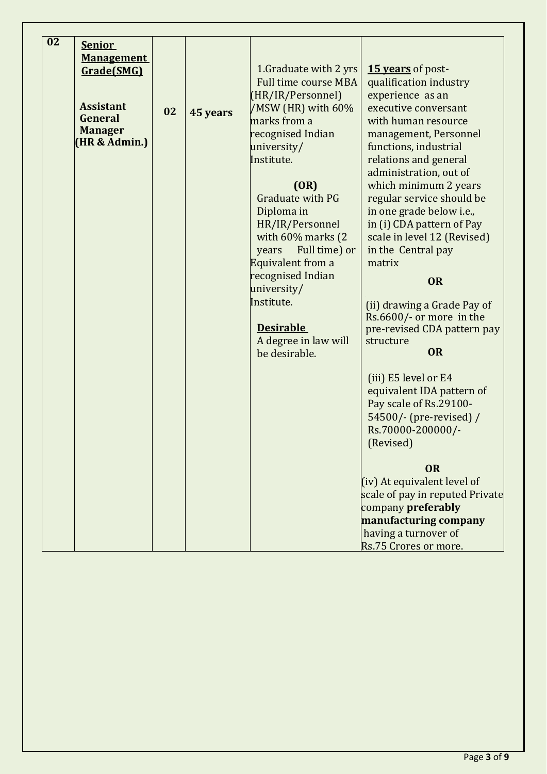| 02 | <b>Senior</b><br><b>Management</b><br>Grade(SMG)<br><b>Assistant</b><br>General<br><b>Manager</b><br>(HR & Admin.) | 02 | 45 years | 1. Graduate with 2 yrs<br><b>Full time course MBA</b><br>(HR/IR/Personnel)<br>/MSW (HR) with 60%<br>marks from a<br>recognised Indian<br>university/<br>Institute.<br>(OR)<br>Graduate with PG<br>Diploma in<br>HR/IR/Personnel<br>with 60% marks (2<br>Full time) or<br>years<br>Equivalent from a<br>recognised Indian<br>university/<br>Institute.<br><b>Desirable</b><br>A degree in law will<br>be desirable. | 15 vears of post-<br>qualification industry<br>experience as an<br>executive conversant<br>with human resource<br>management, Personnel<br>functions, industrial<br>relations and general<br>administration, out of<br>which minimum 2 years<br>regular service should be<br>in one grade below i.e.,<br>in (i) CDA pattern of Pay<br>scale in level 12 (Revised)<br>in the Central pay<br>matrix<br><b>OR</b><br>(ii) drawing a Grade Pay of<br>Rs.6600/- or more in the<br>pre-revised CDA pattern pay<br>structure<br><b>OR</b> |
|----|--------------------------------------------------------------------------------------------------------------------|----|----------|--------------------------------------------------------------------------------------------------------------------------------------------------------------------------------------------------------------------------------------------------------------------------------------------------------------------------------------------------------------------------------------------------------------------|------------------------------------------------------------------------------------------------------------------------------------------------------------------------------------------------------------------------------------------------------------------------------------------------------------------------------------------------------------------------------------------------------------------------------------------------------------------------------------------------------------------------------------|
|    |                                                                                                                    |    |          |                                                                                                                                                                                                                                                                                                                                                                                                                    | (iii) E5 level or E4<br>equivalent IDA pattern of<br>Pay scale of Rs.29100-<br>54500/- (pre-revised) /<br>Rs.70000-200000/-<br>(Revised)<br><b>OR</b><br>(iv) At equivalent level of<br>scale of pay in reputed Private<br>company preferably<br>manufacturing company                                                                                                                                                                                                                                                             |
|    |                                                                                                                    |    |          |                                                                                                                                                                                                                                                                                                                                                                                                                    | having a turnover of<br>Rs.75 Crores or more.                                                                                                                                                                                                                                                                                                                                                                                                                                                                                      |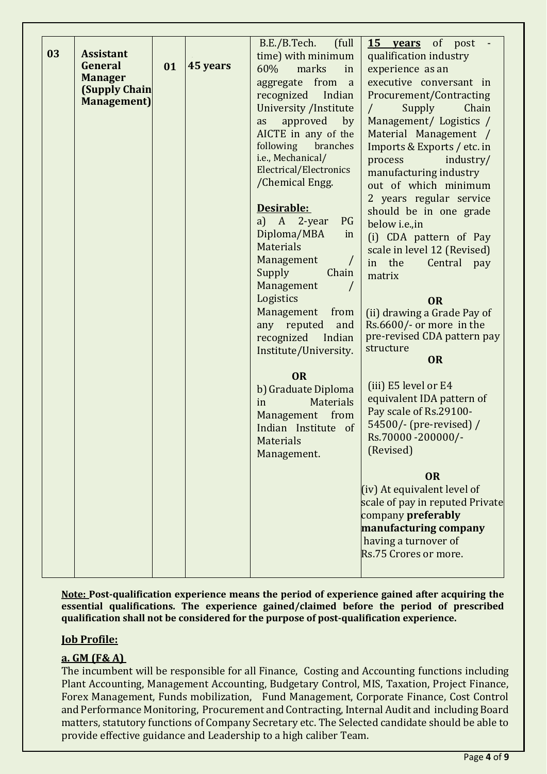| 03 | <b>Assistant</b><br>General<br><b>Manager</b><br><b>(Supply Chain</b><br>Management) | 01 | 45 years | (full<br>B.E./B.Tech.<br>time) with minimum<br>60%<br>marks<br>in<br>aggregate from<br>a<br>Indian<br>recognized<br>University /Institute<br>approved<br>by<br>as<br>AICTE in any of the<br>following<br>branches<br>i.e., Mechanical/<br>Electrical/Electronics<br>/Chemical Engg.<br>Desirable:<br>A<br>2-year<br>PG<br>a)<br>Diploma/MBA<br>in<br><b>Materials</b><br>Management<br>$\prime$<br>Supply<br>Chain<br>Management<br>Logistics<br>Management<br>from<br>any reputed<br>and<br>recognized<br>Indian<br>Institute/University. | 15 years of post<br>qualification industry<br>experience as an<br>executive conversant in<br>Procurement/Contracting<br>Supply<br>Chain<br>$\sqrt{2}$<br>Management/ Logistics /<br>Material Management /<br>Imports & Exports / etc. in<br>process<br>industry/<br>manufacturing industry<br>out of which minimum<br>2 years regular service<br>should be in one grade<br>below i.e., in<br>(i) CDA pattern of Pay<br>scale in level 12 (Revised)<br>in the<br>Central pay<br>matrix<br><b>OR</b><br>(ii) drawing a Grade Pay of<br>Rs.6600/- or more in the<br>pre-revised CDA pattern pay<br>structure<br>OR |
|----|--------------------------------------------------------------------------------------|----|----------|--------------------------------------------------------------------------------------------------------------------------------------------------------------------------------------------------------------------------------------------------------------------------------------------------------------------------------------------------------------------------------------------------------------------------------------------------------------------------------------------------------------------------------------------|-----------------------------------------------------------------------------------------------------------------------------------------------------------------------------------------------------------------------------------------------------------------------------------------------------------------------------------------------------------------------------------------------------------------------------------------------------------------------------------------------------------------------------------------------------------------------------------------------------------------|
|    |                                                                                      |    |          | <b>OR</b><br>b) Graduate Diploma<br><b>Materials</b><br>in<br>from<br>Management<br>Indian Institute of<br><b>Materials</b><br>Management.                                                                                                                                                                                                                                                                                                                                                                                                 | (iii) E5 level or E4<br>equivalent IDA pattern of<br>Pay scale of Rs.29100-<br>54500/- (pre-revised) /<br>Rs.70000 - 200000/-<br>(Revised)<br><b>OR</b><br>(iv) At equivalent level of<br>scale of pay in reputed Private<br>company preferably<br>manufacturing company<br>having a turnover of<br>Rs.75 Crores or more.                                                                                                                                                                                                                                                                                       |

**Note: Post-qualification experience means the period of experience gained after acquiring the essential qualifications. The experience gained/claimed before the period of prescribed qualification shall not be considered for the purpose of post-qualification experience.** 

## **Job Profile:**

## **a. GM (F& A)**

The incumbent will be responsible for all Finance, Costing and Accounting functions including Plant Accounting, Management Accounting, Budgetary Control, MIS, Taxation, Project Finance, Forex Management, Funds mobilization, Fund Management, Corporate Finance, Cost Control and Performance Monitoring, Procurement and Contracting, Internal Audit and including Board matters, statutory functions of Company Secretary etc. The Selected candidate should be able to provide effective guidance and Leadership to a high caliber Team.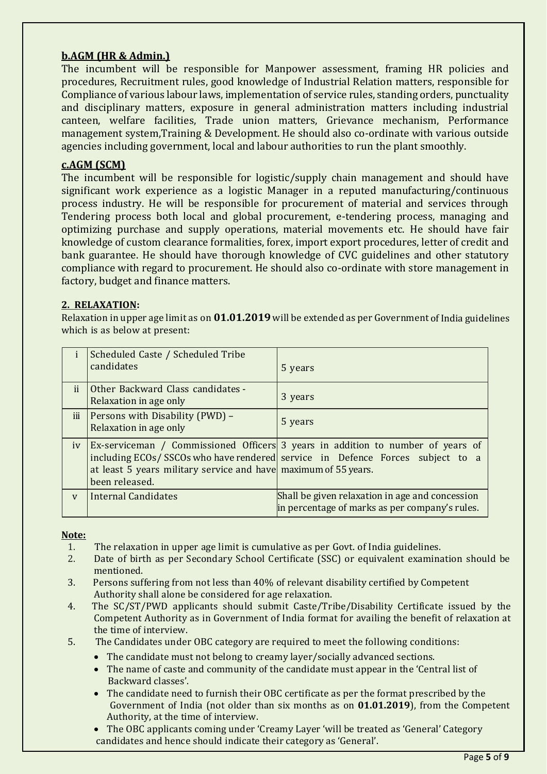# **b.AGM (HR & Admin.)**

The incumbent will be responsible for Manpower assessment, framing HR policies and procedures, Recruitment rules, good knowledge of Industrial Relation matters, responsible for Compliance of various labour laws, implementation of service rules, standing orders, punctuality and disciplinary matters, exposure in general administration matters including industrial canteen, welfare facilities, Trade union matters, Grievance mechanism, Performance management system,Training & Development. He should also co-ordinate with various outside agencies including government, local and labour authorities to run the plant smoothly.

## **c.AGM (SCM)**

The incumbent will be responsible for logistic/supply chain management and should have significant work experience as a logistic Manager in a reputed manufacturing/continuous process industry. He will be responsible for procurement of material and services through Tendering process both local and global procurement, e-tendering process, managing and optimizing purchase and supply operations, material movements etc. He should have fair knowledge of custom clearance formalities, forex, import export procedures, letter of credit and bank guarantee. He should have thorough knowledge of CVC guidelines and other statutory compliance with regard to procurement. He should also co-ordinate with store management in factory, budget and finance matters.

## **2. RELAXATION:**

Relaxation in upper age limit as on **01.01.2019** will be extended as per Government of India guidelines which is as below at present:

|              | Scheduled Caste / Scheduled Tribe<br>candidates                                   | 5 years                                                                                                                                                          |
|--------------|-----------------------------------------------------------------------------------|------------------------------------------------------------------------------------------------------------------------------------------------------------------|
| ii.          | Other Backward Class candidates -<br>Relaxation in age only                       | 3 years                                                                                                                                                          |
| iii          | Persons with Disability (PWD) -<br>Relaxation in age only                         | 5 years                                                                                                                                                          |
| iv           | at least 5 years military service and have maximum of 55 years.<br>been released. | Ex-serviceman / Commissioned Officers 3 years in addition to number of years of<br>including ECOs/SSCOs who have rendered service in Defence Forces subject to a |
| $\mathbf{V}$ | Internal Candidates                                                               | Shall be given relaxation in age and concession<br>in percentage of marks as per company's rules.                                                                |

#### **Note:**

- 1. The relaxation in upper age limit is cumulative as per Govt. of India guidelines.
- 2. Date of birth as per Secondary School Certificate (SSC) or equivalent examination should be mentioned.
- 3. Persons suffering from not less than 40% of relevant disability certified by Competent Authority shall alone be considered for age relaxation.
- 4. The SC/ST/PWD applicants should submit Caste/Tribe/Disability Certificate issued by the Competent Authority as in Government of India format for availing the benefit of relaxation at the time of interview.
- 5. The Candidates under OBC category are required to meet the following conditions:
	- The candidate must not belong to creamy layer/socially advanced sections.
	- The name of caste and community of the candidate must appear in the 'Central list of Backward classes'.
	- The candidate need to furnish their OBC certificate as per the format prescribed by the Government of India (not older than six months as on **01.01.2019**), from the Competent Authority, at the time of interview.
	- The OBC applicants coming under 'Creamy Layer 'will be treated as 'General' Category candidates and hence should indicate their category as 'General'.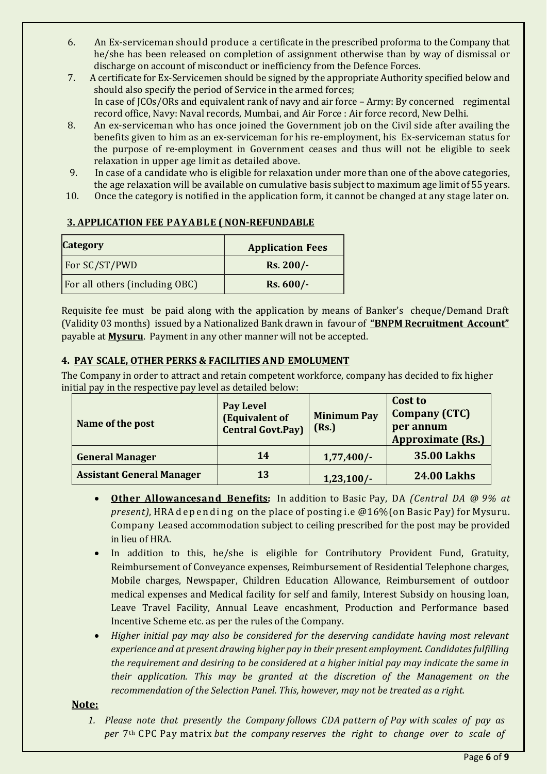- 6. An Ex-serviceman should produce a certificate in the prescribed proforma to the Company that he/she has been released on completion of assignment otherwise than by way of dismissal or discharge on account of misconduct or inefficiency from the Defence Forces.
- 7. A certificate for Ex-Servicemen should be signed by the appropriate Authority specified below and should also specify the period of Service in the armed forces; In case of JCOs/ORs and equivalent rank of navy and air force – Army: By concerned regimental record office, Navy: Naval records, Mumbai, and Air Force : Air force record, New Delhi.
- 8. An ex-serviceman who has once joined the Government job on the Civil side after availing the benefits given to him as an ex-serviceman for his re-employment, his Ex-serviceman status for the purpose of re-employment in Government ceases and thus will not be eligible to seek relaxation in upper age limit as detailed above.
- 9. In case of a candidate who is eligible for relaxation under more than one of the above categories, the age relaxation will be available on cumulative basis subject to maximum age limit of 55 years.
- 10. Once the category is notified in the application form, it cannot be changed at any stage later on.

## **3. APPLICATION FEE PAYABLE ( NON-REFUNDABLE**

| <b>Category</b>                       | <b>Application Fees</b> |  |
|---------------------------------------|-------------------------|--|
| For SC/ST/PWD                         | $Rs. 200/-$             |  |
| <b>For all others (including OBC)</b> | $Rs. 600/-$             |  |

Requisite fee must be paid along with the application by means of Banker's cheque/Demand Draft (Validity 03 months) issued by a Nationalized Bank drawn in favour of **"BNPM Recruitment Account"**  payable at **Mysuru**. Payment in any other manner will not be accepted.

## **4. PAY SCALE, OTHER PERKS & FACILITIES AND EMOLUMENT**

The Company in order to attract and retain competent workforce, company has decided to fix higher initial pay in the respective pay level as detailed below:

| Name of the post                 | <b>Pay Level</b><br><b>(Equivalent of</b><br><b>Central Govt.Pay)</b> | <b>Minimum Pay</b><br>(Rs.) | Cost to<br><b>Company (CTC)</b><br>per annum<br><b>Approximate (Rs.)</b> |
|----------------------------------|-----------------------------------------------------------------------|-----------------------------|--------------------------------------------------------------------------|
| <b>General Manager</b>           | 14                                                                    | $1,77,400/-$                | <b>35.00 Lakhs</b>                                                       |
| <b>Assistant General Manager</b> | 13                                                                    | 1,23,100/                   | <b>24.00 Lakhs</b>                                                       |

- **Other Allowancesand Benefits:** In addition to Basic Pay, DA *(Central DA @ 9% at present)*, HRA depending on the place of posting i.e @16% (on Basic Pay) for Mysuru. Company Leased accommodation subject to ceiling prescribed for the post may be provided in lieu of HRA.
- In addition to this, he/she is eligible for Contributory Provident Fund, Gratuity, Reimbursement of Conveyance expenses, Reimbursement of Residential Telephone charges, Mobile charges, Newspaper, Children Education Allowance, Reimbursement of outdoor medical expenses and Medical facility for self and family, Interest Subsidy on housing loan, Leave Travel Facility, Annual Leave encashment, Production and Performance based Incentive Scheme etc. as per the rules of the Company.
- *Higher initial pay may also be considered for the deserving candidate having most relevant experience and at present drawing higher pay in their present employment. Candidates fulfilling the requirement and desiring to be considered at a higher initial pay may indicate the same in their application. This may be granted at the discretion of the Management on the recommendation of the Selection Panel. This, however, may not be treated as a right.*

#### **Note:**

*1. Please note that presently the Company follows CDA pattern of Pay with scales of pay as per* 7th CPC Pay matrix *but the company reserves the right to change over to scale of*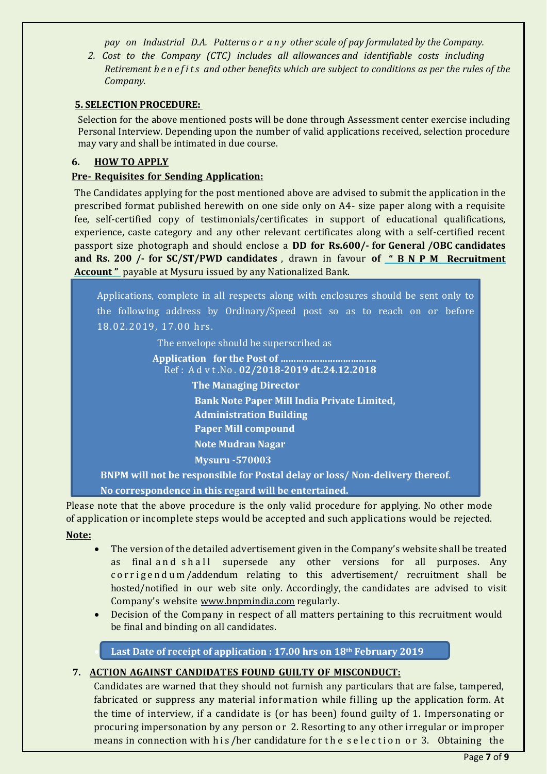*pay on Industrial D.A. Patterns o r a n y other scale of pay formulated by the Company.*

*2. Cost to the Company (CTC) includes all allowances and identifiable costs including Retirement b e n e f i t s and other benefits which are subject to conditions as per the rules of the Company.*

## **5. SELECTION PROCEDURE:**

Selection for the above mentioned posts will be done through Assessment center exercise including Personal Interview. Depending upon the number of valid applications received, selection procedure may vary and shall be intimated in due course.

## **6. HOW TO APPLY**

## **Pre- Requisites for Sending Application:**

The Candidates applying for the post mentioned above are advised to submit the application in the prescribed format published herewith on one side only on A4- size paper along with a requisite fee, self-certified copy of testimonials/certificates in support of educational qualifications, experience, caste category and any other relevant certificates along with a self-certified recent passport size photograph and should enclose a **DD for Rs.600/- for General /OBC candidates and Rs. 200 /- for SC/ST/PWD candidates** , drawn in favour **of " B N P M Recruitment Account "** payable at Mysuru issued by any Nationalized Bank.

Applications, complete in all respects along with enclosures should be sent only to the following address by Ordinary/Speed post so as to reach on or before 18.02.2019, 17.00 hrs.

The envelope should be superscribed as

**Application for the Post of ……………………………….** Ref : A d v t .No . **02/2018-2019 dt.24.12.2018**

**The Managing Director**

**Bank Note Paper Mill India Private Limited,**

**Administration Building**

**Paper Mill compound**

**Note Mudran Nagar**

**Mysuru -570003**

**BNPM will not be responsible for Postal delay or loss/ Non-delivery thereof.** 

**No correspondence in this regard will be entertained.**

Please note that the above procedure is the only valid procedure for applying. No other mode of application or incomplete steps would be accepted and such applications would be rejected. **Note:**

- The version of the detailed advertisement given in the Company's website shall be treated as final and shall supersede any other versions for all purposes. Any corrigendum/addendum relating to this advertisement/ recruitment shall be hosted/notified in our web site only. Accordingly, the candidates are advised to visit Company's website [www.bnpmindia.com](http://www.bnpmindia.com/) regularly.
- Decision of the Company in respect of all matters pertaining to this recruitment would be final and binding on all candidates.

**Last Date of receipt of application : 17.00 hrs on 18th February 2019**

## **7. ACTION AGAINST CANDIDATES FOUND GUILTY OF MISCONDUCT:**

Candidates are warned that they should not furnish any particulars that are false, tampered, fabricated or suppress any material information while filling up the application form. At the time of interview, if a candidate is (or has been) found guilty of 1. Impersonating or procuring impersonation by any person or 2. Resorting to any other irregular or improper means in connection with h is /her candidature for the selection or 3. Obtaining the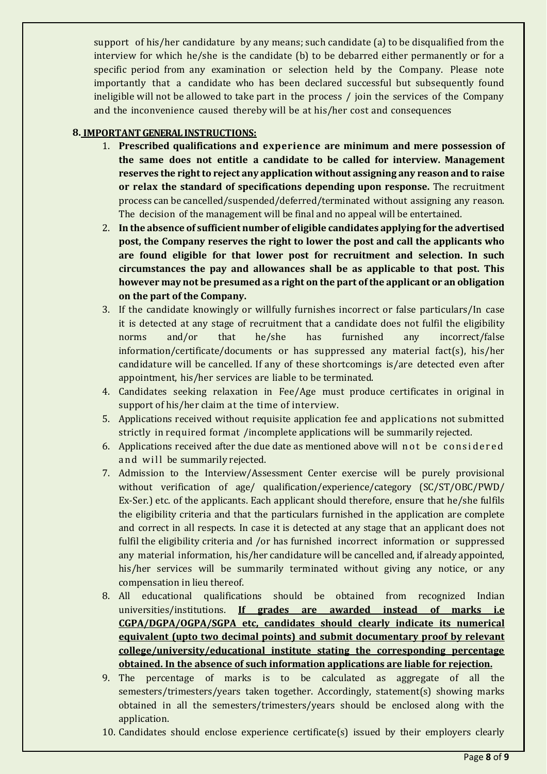support of his/her candidature by any means; such candidate (a) to be disqualified from the interview for which he/she is the candidate (b) to be debarred either permanently or for a specific period from any examination or selection held by the Company. Please note importantly that a candidate who has been declared successful but subsequently found ineligible will not be allowed to take part in the process / join the services of the Company and the inconvenience caused thereby will be at his/her cost and consequences

# **8. IMPORTANTGENERAL INSTRUCTIONS:**

- 1. **Prescribed qualifications and experience are minimum and mere possession of the same does not entitle a candidate to be called for interview. Management reserves the rightto reject any application without assigning any reason and to raise or relax the standard of specifications depending upon response.** The recruitment process can be cancelled/suspended/deferred/terminated without assigning any reason. The decision of the management will be final and no appeal will be entertained.
- 2. **In the absence of sufficient number of eligible candidates applying for the advertised post, the Company reserves the right to lower the post and call the applicants who are found eligible for that lower post for recruitment and selection. In such circumstances the pay and allowances shall be as applicable to that post. This however may not be presumed as a right on the part of the applicant or an obligation on the part of the Company.**
- 3. If the candidate knowingly or willfully furnishes incorrect or false particulars/In case it is detected at any stage of recruitment that a candidate does not fulfil the eligibility norms and/or that he/she has furnished any incorrect/false information/certificate/documents or has suppressed any material fact(s), his/her candidature will be cancelled. If any of these shortcomings is/are detected even after appointment, his/her services are liable to be terminated.
- 4. Candidates seeking relaxation in Fee/Age must produce certificates in original in support of his/her claim at the time of interview.
- 5. Applications received without requisite application fee and applications not submitted strictly in required format /incomplete applications will be summarily rejected.
- 6. Applications received after the due date as mentioned above will not be considered and will be summarily rejected.
- 7. Admission to the Interview/Assessment Center exercise will be purely provisional without verification of age/ qualification/experience/category (SC/ST/OBC/PWD/ Ex-Ser.) etc. of the applicants. Each applicant should therefore, ensure that he/she fulfils the eligibility criteria and that the particulars furnished in the application are complete and correct in all respects. In case it is detected at any stage that an applicant does not fulfil the eligibility criteria and /or has furnished incorrect information or suppressed any material information, his/her candidature will be cancelled and, if already appointed, his/her services will be summarily terminated without giving any notice, or any compensation in lieu thereof.
- 8. All educational qualifications should be obtained from recognized Indian universities/institutions. **If grades are awarded instead of marks i.e CGPA/DGPA/OGPA/SGPA etc, candidates should clearly indicate its numerical equivalent (upto two decimal points) and submit documentary proof by relevant college/university/educational institute stating the corresponding percentage obtained. In the absence of such information applications are liable for rejection.**
- 9. The percentage of marks is to be calculated as aggregate of all the semesters/trimesters/years taken together. Accordingly, statement(s) showing marks obtained in all the semesters/trimesters/years should be enclosed along with the application.
- 10. Candidates should enclose experience certificate(s) issued by their employers clearly